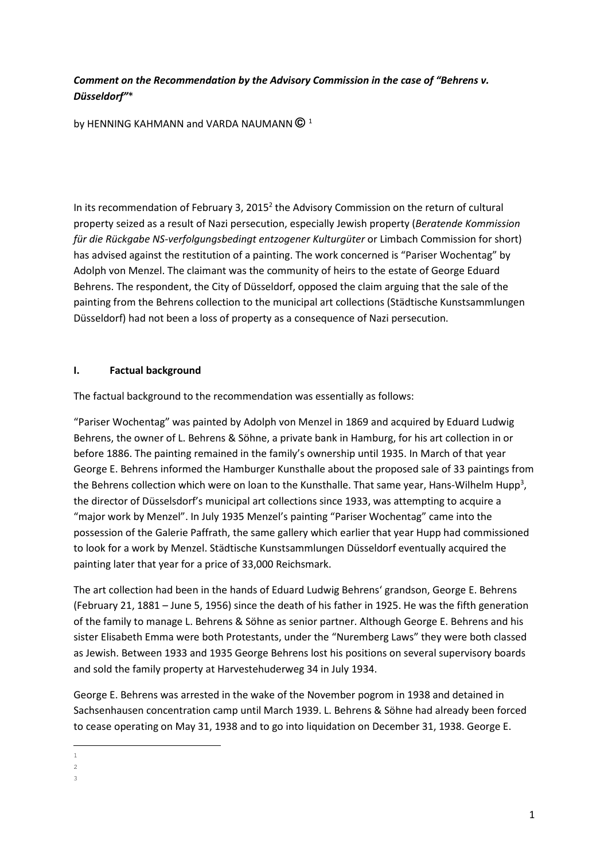## Comment on the Recommendation by the Advisory Commission in the case of "Behrens v. Düsseldorf"\*

by HENNING KAHMANN and VARDA NAUMANN **©** <sup>1</sup>

In its recommendation of February 3, 2015 $^2$  the Advisory Commission on the return of cultural property seized as a result of Nazi persecution, especially Jewish property (Beratende Kommission für die Rückgabe NS-verfolgungsbedingt entzogener Kulturgüter or Limbach Commission for short) has advised against the restitution of a painting. The work concerned is "Pariser Wochentag" by Adolph von Menzel. The claimant was the community of heirs to the estate of George Eduard Behrens. The respondent, the City of Düsseldorf, opposed the claim arguing that the sale of the painting from the Behrens collection to the municipal art collections (Städtische Kunstsammlungen Düsseldorf) had not been a loss of property as a consequence of Nazi persecution.

### I. Factual background

The factual background to the recommendation was essentially as follows:

"Pariser Wochentag" was painted by Adolph von Menzel in 1869 and acquired by Eduard Ludwig Behrens, the owner of L. Behrens & Söhne, a private bank in Hamburg, for his art collection in or before 1886. The painting remained in the family's ownership until 1935. In March of that year George E. Behrens informed the Hamburger Kunsthalle about the proposed sale of 33 paintings from the Behrens collection which were on loan to the Kunsthalle. That same year, Hans-Wilhelm Hupp<sup>3</sup>, the director of Düsselsdorf's municipal art collections since 1933, was attempting to acquire a "major work by Menzel". In July 1935 Menzel's painting "Pariser Wochentag" came into the possession of the Galerie Paffrath, the same gallery which earlier that year Hupp had commissioned to look for a work by Menzel. Städtische Kunstsammlungen Düsseldorf eventually acquired the painting later that year for a price of 33,000 Reichsmark.

The art collection had been in the hands of Eduard Ludwig Behrens' grandson, George E. Behrens (February 21, 1881 – June 5, 1956) since the death of his father in 1925. He was the fifth generation of the family to manage L. Behrens & Söhne as senior partner. Although George E. Behrens and his sister Elisabeth Emma were both Protestants, under the "Nuremberg Laws" they were both classed as Jewish. Between 1933 and 1935 George Behrens lost his positions on several supervisory boards and sold the family property at Harvestehuderweg 34 in July 1934.

George E. Behrens was arrested in the wake of the November pogrom in 1938 and detained in Sachsenhausen concentration camp until March 1939. L. Behrens & Söhne had already been forced to cease operating on May 31, 1938 and to go into liquidation on December 31, 1938. George E.

 $\overline{2}$ 

l 1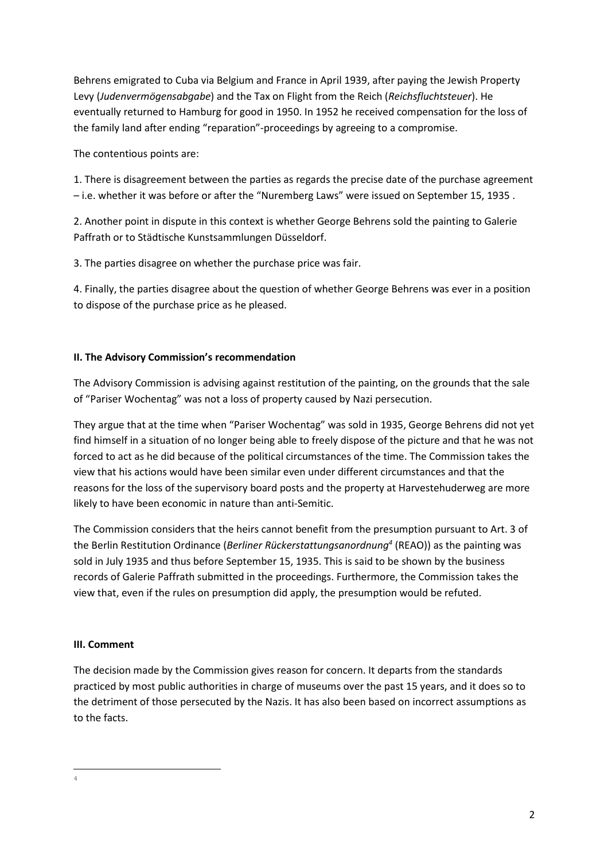Behrens emigrated to Cuba via Belgium and France in April 1939, after paying the Jewish Property Levy (Judenvermögensabgabe) and the Tax on Flight from the Reich (Reichsfluchtsteuer). He eventually returned to Hamburg for good in 1950. In 1952 he received compensation for the loss of the family land after ending "reparation"-proceedings by agreeing to a compromise.

The contentious points are:

1. There is disagreement between the parties as regards the precise date of the purchase agreement – i.e. whether it was before or after the "Nuremberg Laws" were issued on September 15, 1935 .

2. Another point in dispute in this context is whether George Behrens sold the painting to Galerie Paffrath or to Städtische Kunstsammlungen Düsseldorf.

3. The parties disagree on whether the purchase price was fair.

4. Finally, the parties disagree about the question of whether George Behrens was ever in a position to dispose of the purchase price as he pleased.

## II. The Advisory Commission's recommendation

The Advisory Commission is advising against restitution of the painting, on the grounds that the sale of "Pariser Wochentag" was not a loss of property caused by Nazi persecution.

They argue that at the time when "Pariser Wochentag" was sold in 1935, George Behrens did not yet find himself in a situation of no longer being able to freely dispose of the picture and that he was not forced to act as he did because of the political circumstances of the time. The Commission takes the view that his actions would have been similar even under different circumstances and that the reasons for the loss of the supervisory board posts and the property at Harvestehuderweg are more likely to have been economic in nature than anti-Semitic.

The Commission considers that the heirs cannot benefit from the presumption pursuant to Art. 3 of the Berlin Restitution Ordinance (Berliner Rückerstattungsanordnung<sup>4</sup> (REAO)) as the painting was sold in July 1935 and thus before September 15, 1935. This is said to be shown by the business records of Galerie Paffrath submitted in the proceedings. Furthermore, the Commission takes the view that, even if the rules on presumption did apply, the presumption would be refuted.

### III. Comment

The decision made by the Commission gives reason for concern. It departs from the standards practiced by most public authorities in charge of museums over the past 15 years, and it does so to the detriment of those persecuted by the Nazis. It has also been based on incorrect assumptions as to the facts.

 $\overline{a}$ 4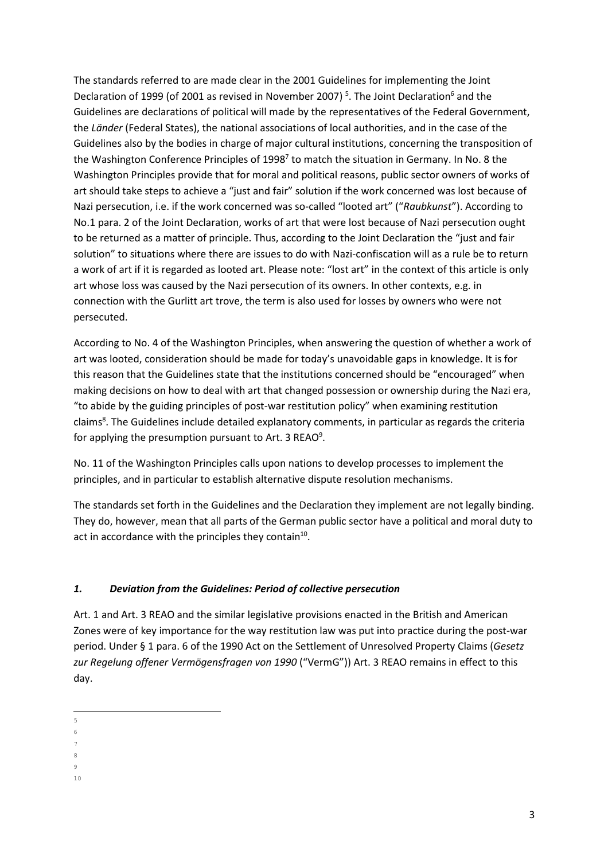The standards referred to are made clear in the 2001 Guidelines for implementing the Joint Declaration of 1999 (of 2001 as revised in November 2007)<sup>5</sup>. The Joint Declaration<sup>6</sup> and the Guidelines are declarations of political will made by the representatives of the Federal Government, the Länder (Federal States), the national associations of local authorities, and in the case of the Guidelines also by the bodies in charge of major cultural institutions, concerning the transposition of the Washington Conference Principles of 1998<sup>7</sup> to match the situation in Germany. In No. 8 the Washington Principles provide that for moral and political reasons, public sector owners of works of art should take steps to achieve a "just and fair" solution if the work concerned was lost because of Nazi persecution, i.e. if the work concerned was so-called "looted art" ("Raubkunst"). According to No.1 para. 2 of the Joint Declaration, works of art that were lost because of Nazi persecution ought to be returned as a matter of principle. Thus, according to the Joint Declaration the "just and fair solution" to situations where there are issues to do with Nazi-confiscation will as a rule be to return a work of art if it is regarded as looted art. Please note: "lost art" in the context of this article is only art whose loss was caused by the Nazi persecution of its owners. In other contexts, e.g. in connection with the Gurlitt art trove, the term is also used for losses by owners who were not persecuted.

According to No. 4 of the Washington Principles, when answering the question of whether a work of art was looted, consideration should be made for today's unavoidable gaps in knowledge. It is for this reason that the Guidelines state that the institutions concerned should be "encouraged" when making decisions on how to deal with art that changed possession or ownership during the Nazi era, "to abide by the guiding principles of post-war restitution policy" when examining restitution claims<sup>8</sup>. The Guidelines include detailed explanatory comments, in particular as regards the criteria for applying the presumption pursuant to Art. 3 REAO<sup>9</sup>.

No. 11 of the Washington Principles calls upon nations to develop processes to implement the principles, and in particular to establish alternative dispute resolution mechanisms.

The standards set forth in the Guidelines and the Declaration they implement are not legally binding. They do, however, mean that all parts of the German public sector have a political and moral duty to act in accordance with the principles they contain<sup>10</sup>.

## 1. Deviation from the Guidelines: Period of collective persecution

Art. 1 and Art. 3 REAO and the similar legislative provisions enacted in the British and American Zones were of key importance for the way restitution law was put into practice during the post-war period. Under § 1 para. 6 of the 1990 Act on the Settlement of Unresolved Property Claims (Gesetz zur Regelung offener Vermögensfragen von 1990 ("VermG")) Art. 3 REAO remains in effect to this day.

 $\overline{a}$ 5

<sup>6</sup>

<sup>7</sup>

<sup>8</sup> 9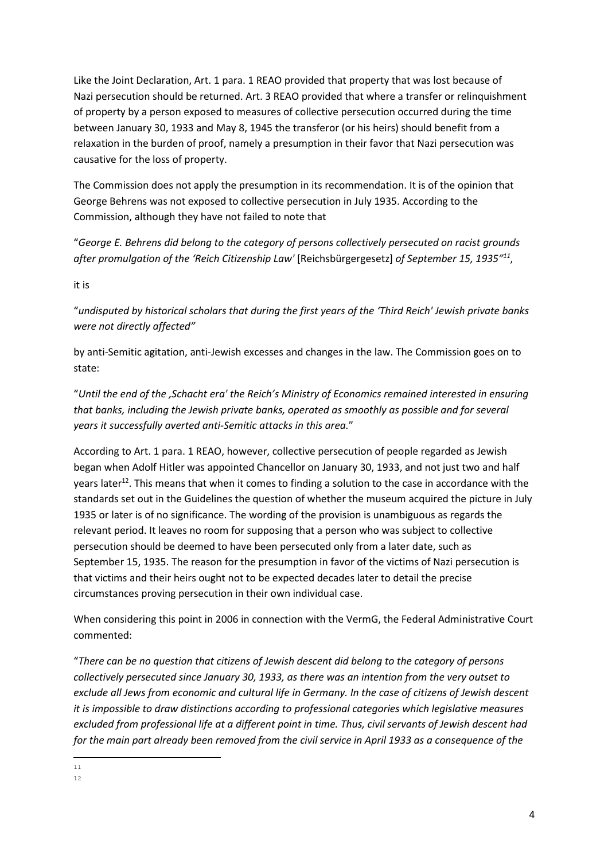Like the Joint Declaration, Art. 1 para. 1 REAO provided that property that was lost because of Nazi persecution should be returned. Art. 3 REAO provided that where a transfer or relinquishment of property by a person exposed to measures of collective persecution occurred during the time between January 30, 1933 and May 8, 1945 the transferor (or his heirs) should benefit from a relaxation in the burden of proof, namely a presumption in their favor that Nazi persecution was causative for the loss of property.

The Commission does not apply the presumption in its recommendation. It is of the opinion that George Behrens was not exposed to collective persecution in July 1935. According to the Commission, although they have not failed to note that

"George E. Behrens did belong to the category of persons collectively persecuted on racist grounds after promulgation of the 'Reich Citizenship Law' [Reichsbürgergesetz] of September 15, 1935"<sup>11</sup>,

it is

"undisputed by historical scholars that during the first years of the 'Third Reich' Jewish private banks were not directly affected"

by anti-Semitic agitation, anti-Jewish excesses and changes in the law. The Commission goes on to state:

"Until the end of the ,Schacht era' the Reich's Ministry of Economics remained interested in ensuring that banks, including the Jewish private banks, operated as smoothly as possible and for several years it successfully averted anti-Semitic attacks in this area."

According to Art. 1 para. 1 REAO, however, collective persecution of people regarded as Jewish began when Adolf Hitler was appointed Chancellor on January 30, 1933, and not just two and half years later<sup>12</sup>. This means that when it comes to finding a solution to the case in accordance with the standards set out in the Guidelines the question of whether the museum acquired the picture in July 1935 or later is of no significance. The wording of the provision is unambiguous as regards the relevant period. It leaves no room for supposing that a person who was subject to collective persecution should be deemed to have been persecuted only from a later date, such as September 15, 1935. The reason for the presumption in favor of the victims of Nazi persecution is that victims and their heirs ought not to be expected decades later to detail the precise circumstances proving persecution in their own individual case.

When considering this point in 2006 in connection with the VermG, the Federal Administrative Court commented:

"There can be no question that citizens of Jewish descent did belong to the category of persons collectively persecuted since January 30, 1933, as there was an intention from the very outset to exclude all Jews from economic and cultural life in Germany. In the case of citizens of Jewish descent it is impossible to draw distinctions according to professional categories which legislative measures excluded from professional life at a different point in time. Thus, civil servants of Jewish descent had for the main part already been removed from the civil service in April 1933 as a consequence of the

l <sup>11</sup>

<sup>12</sup>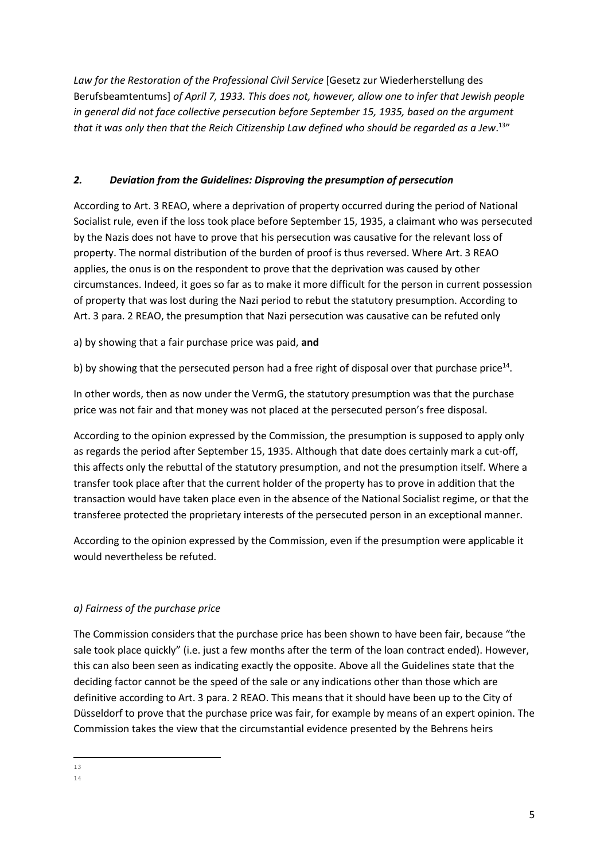Law for the Restoration of the Professional Civil Service [Gesetz zur Wiederherstellung des Berufsbeamtentums] of April 7, 1933. This does not, however, allow one to infer that Jewish people in general did not face collective persecution before September 15, 1935, based on the argument that it was only then that the Reich Citizenship Law defined who should be regarded as a Jew. $^{13}{}$ 

## 2. Deviation from the Guidelines: Disproving the presumption of persecution

According to Art. 3 REAO, where a deprivation of property occurred during the period of National Socialist rule, even if the loss took place before September 15, 1935, a claimant who was persecuted by the Nazis does not have to prove that his persecution was causative for the relevant loss of property. The normal distribution of the burden of proof is thus reversed. Where Art. 3 REAO applies, the onus is on the respondent to prove that the deprivation was caused by other circumstances. Indeed, it goes so far as to make it more difficult for the person in current possession of property that was lost during the Nazi period to rebut the statutory presumption. According to Art. 3 para. 2 REAO, the presumption that Nazi persecution was causative can be refuted only

a) by showing that a fair purchase price was paid, and

b) by showing that the persecuted person had a free right of disposal over that purchase price<sup>14</sup>.

In other words, then as now under the VermG, the statutory presumption was that the purchase price was not fair and that money was not placed at the persecuted person's free disposal.

According to the opinion expressed by the Commission, the presumption is supposed to apply only as regards the period after September 15, 1935. Although that date does certainly mark a cut-off, this affects only the rebuttal of the statutory presumption, and not the presumption itself. Where a transfer took place after that the current holder of the property has to prove in addition that the transaction would have taken place even in the absence of the National Socialist regime, or that the transferee protected the proprietary interests of the persecuted person in an exceptional manner.

According to the opinion expressed by the Commission, even if the presumption were applicable it would nevertheless be refuted.

## a) Fairness of the purchase price

The Commission considers that the purchase price has been shown to have been fair, because "the sale took place quickly" (i.e. just a few months after the term of the loan contract ended). However, this can also been seen as indicating exactly the opposite. Above all the Guidelines state that the deciding factor cannot be the speed of the sale or any indications other than those which are definitive according to Art. 3 para. 2 REAO. This means that it should have been up to the City of Düsseldorf to prove that the purchase price was fair, for example by means of an expert opinion. The Commission takes the view that the circumstantial evidence presented by the Behrens heirs

l <sup>13</sup>

<sup>14</sup>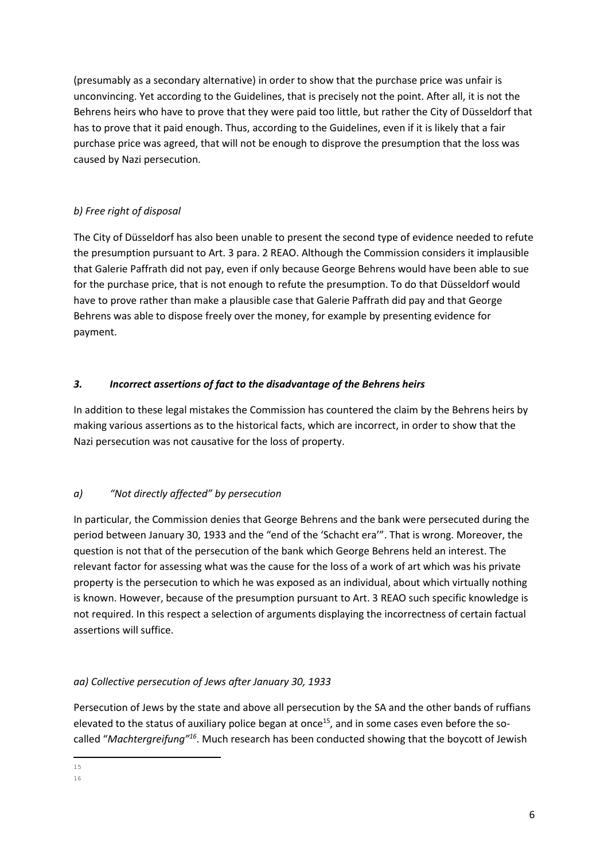(presumably as a secondary alternative) in order to show that the purchase price was unfair is unconvincing. Yet according to the Guidelines, that is precisely not the point. After all, it is not the Behrens heirs who have to prove that they were paid too little, but rather the City of Düsseldorf that has to prove that it paid enough. Thus, according to the Guidelines, even if it is likely that a fair purchase price was agreed, that will not be enough to disprove the presumption that the loss was caused by Nazi persecution.

# b) Free right of disposal

The City of Düsseldorf has also been unable to present the second type of evidence needed to refute the presumption pursuant to Art. 3 para. 2 REAO. Although the Commission considers it implausible that Galerie Paffrath did not pay, even if only because George Behrens would have been able to sue for the purchase price, that is not enough to refute the presumption. To do that Düsseldorf would have to prove rather than make a plausible case that Galerie Paffrath did pay and that George Behrens was able to dispose freely over the money, for example by presenting evidence for payment.

# 3. Incorrect assertions of fact to the disadvantage of the Behrens heirs

In addition to these legal mistakes the Commission has countered the claim by the Behrens heirs by making various assertions as to the historical facts, which are incorrect, in order to show that the Nazi persecution was not causative for the loss of property.

# a) "Not directly affected" by persecution

In particular, the Commission denies that George Behrens and the bank were persecuted during the period between January 30, 1933 and the "end of the 'Schacht era'". That is wrong. Moreover, the question is not that of the persecution of the bank which George Behrens held an interest. The relevant factor for assessing what was the cause for the loss of a work of art which was his private property is the persecution to which he was exposed as an individual, about which virtually nothing is known. However, because of the presumption pursuant to Art. 3 REAO such specific knowledge is not required. In this respect a selection of arguments displaying the incorrectness of certain factual assertions will suffice.

# aa) Collective persecution of Jews after January 30, 1933

Persecution of Jews by the state and above all persecution by the SA and the other bands of ruffians elevated to the status of auxiliary police began at once<sup>15</sup>, and in some cases even before the socalled "Machtergreifung"<sup>16</sup>. Much research has been conducted showing that the boycott of Jewish

l <sup>15</sup>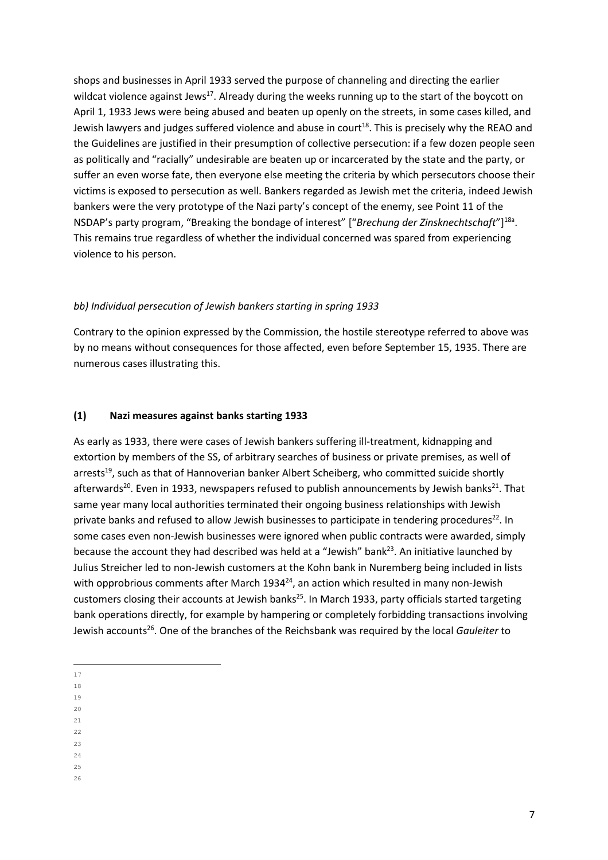shops and businesses in April 1933 served the purpose of channeling and directing the earlier wildcat violence against Jews<sup>17</sup>. Already during the weeks running up to the start of the boycott on April 1, 1933 Jews were being abused and beaten up openly on the streets, in some cases killed, and Jewish lawyers and judges suffered violence and abuse in court<sup>18</sup>. This is precisely why the REAO and the Guidelines are justified in their presumption of collective persecution: if a few dozen people seen as politically and "racially" undesirable are beaten up or incarcerated by the state and the party, or suffer an even worse fate, then everyone else meeting the criteria by which persecutors choose their victims is exposed to persecution as well. Bankers regarded as Jewish met the criteria, indeed Jewish bankers were the very prototype of the Nazi party's concept of the enemy, see Point 11 of the NSDAP's party program, "Breaking the bondage of interest" ["Brechung der Zinsknechtschaft"]<sup>18a</sup>. This remains true regardless of whether the individual concerned was spared from experiencing violence to his person.

### bb) Individual persecution of Jewish bankers starting in spring 1933

Contrary to the opinion expressed by the Commission, the hostile stereotype referred to above was by no means without consequences for those affected, even before September 15, 1935. There are numerous cases illustrating this.

### (1) Nazi measures against banks starting 1933

As early as 1933, there were cases of Jewish bankers suffering ill-treatment, kidnapping and extortion by members of the SS, of arbitrary searches of business or private premises, as well of arrests<sup>19</sup>, such as that of Hannoverian banker Albert Scheiberg, who committed suicide shortly afterwards<sup>20</sup>. Even in 1933, newspapers refused to publish announcements by Jewish banks<sup>21</sup>. That same year many local authorities terminated their ongoing business relationships with Jewish private banks and refused to allow Jewish businesses to participate in tendering procedures<sup>22</sup>. In some cases even non-Jewish businesses were ignored when public contracts were awarded, simply because the account they had described was held at a "Jewish" bank $^{23}$ . An initiative launched by Julius Streicher led to non-Jewish customers at the Kohn bank in Nuremberg being included in lists with opprobrious comments after March 1934 $^{24}$ , an action which resulted in many non-Jewish customers closing their accounts at Jewish banks<sup>25</sup>. In March 1933, party officials started targeting bank operations directly, for example by hampering or completely forbidding transactions involving Jewish accounts<sup>26</sup>. One of the branches of the Reichsbank was required by the local Gauleiter to

<sup>19</sup> <sup>20</sup>

<sup>21</sup>

- <sup>22</sup>
- <sup>23</sup>

 $24$ 

 $\overline{a}$ <sup>17</sup>

<sup>18</sup>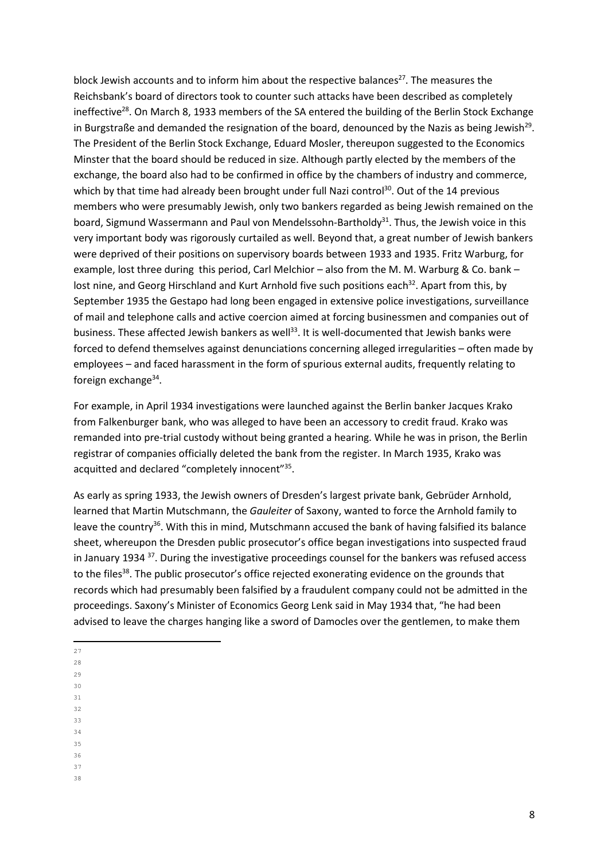block Jewish accounts and to inform him about the respective balances<sup>27</sup>. The measures the Reichsbank's board of directors took to counter such attacks have been described as completely ineffective<sup>28</sup>. On March 8, 1933 members of the SA entered the building of the Berlin Stock Exchange in Burgstraße and demanded the resignation of the board, denounced by the Nazis as being Jewish<sup>29</sup>. The President of the Berlin Stock Exchange, Eduard Mosler, thereupon suggested to the Economics Minster that the board should be reduced in size. Although partly elected by the members of the exchange, the board also had to be confirmed in office by the chambers of industry and commerce, which by that time had already been brought under full Nazi control<sup>30</sup>. Out of the 14 previous members who were presumably Jewish, only two bankers regarded as being Jewish remained on the board, Sigmund Wassermann and Paul von Mendelssohn-Bartholdy<sup>31</sup>. Thus, the Jewish voice in this very important body was rigorously curtailed as well. Beyond that, a great number of Jewish bankers were deprived of their positions on supervisory boards between 1933 and 1935. Fritz Warburg, for example, lost three during this period, Carl Melchior – also from the M. M. Warburg & Co. bank – lost nine, and Georg Hirschland and Kurt Arnhold five such positions each<sup>32</sup>. Apart from this, by September 1935 the Gestapo had long been engaged in extensive police investigations, surveillance of mail and telephone calls and active coercion aimed at forcing businessmen and companies out of business. These affected Jewish bankers as well<sup>33</sup>. It is well-documented that Jewish banks were forced to defend themselves against denunciations concerning alleged irregularities – often made by employees – and faced harassment in the form of spurious external audits, frequently relating to foreign exchange<sup>34</sup>.

For example, in April 1934 investigations were launched against the Berlin banker Jacques Krako from Falkenburger bank, who was alleged to have been an accessory to credit fraud. Krako was remanded into pre-trial custody without being granted a hearing. While he was in prison, the Berlin registrar of companies officially deleted the bank from the register. In March 1935, Krako was acquitted and declared "completely innocent"<sup>35</sup>.

As early as spring 1933, the Jewish owners of Dresden's largest private bank, Gebrüder Arnhold, learned that Martin Mutschmann, the Gauleiter of Saxony, wanted to force the Arnhold family to leave the country<sup>36</sup>. With this in mind, Mutschmann accused the bank of having falsified its balance sheet, whereupon the Dresden public prosecutor's office began investigations into suspected fraud in January 1934 <sup>37</sup>. During the investigative proceedings counsel for the bankers was refused access to the files<sup>38</sup>. The public prosecutor's office rejected exonerating evidence on the grounds that records which had presumably been falsified by a fraudulent company could not be admitted in the proceedings. Saxony's Minister of Economics Georg Lenk said in May 1934 that, "he had been advised to leave the charges hanging like a sword of Damocles over the gentlemen, to make them

- $\overline{\phantom{0}}$ <sup>27</sup> <sup>28</sup>
- $29$
- <sup>30</sup>
- <sup>31</sup> <sup>32</sup>
- <sup>33</sup>
- <sup>34</sup>
- <sup>35</sup>
- <sup>36</sup>
- <sup>37</sup> 38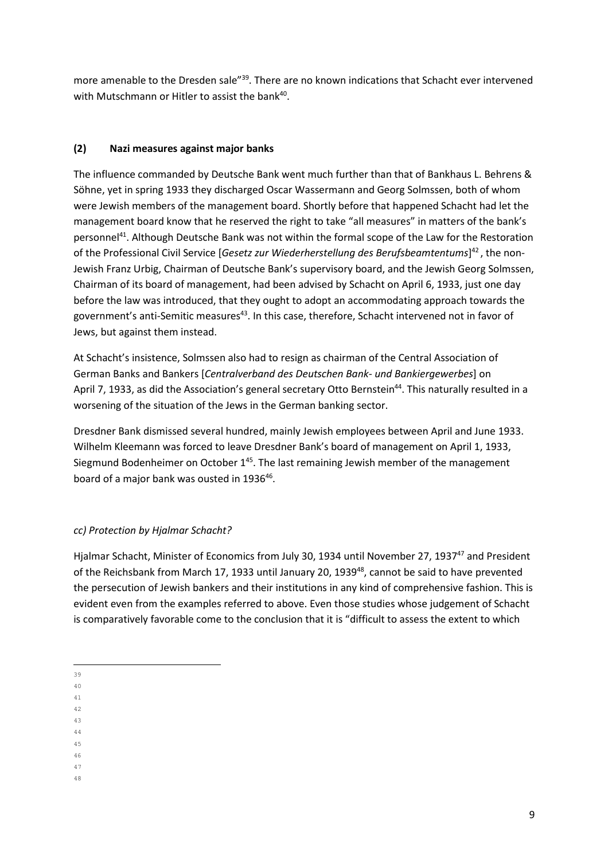more amenable to the Dresden sale"<sup>39</sup>. There are no known indications that Schacht ever intervened with Mutschmann or Hitler to assist the bank<sup>40</sup>.

## (2) Nazi measures against major banks

The influence commanded by Deutsche Bank went much further than that of Bankhaus L. Behrens & Söhne, yet in spring 1933 they discharged Oscar Wassermann and Georg Solmssen, both of whom were Jewish members of the management board. Shortly before that happened Schacht had let the management board know that he reserved the right to take "all measures" in matters of the bank's personnel<sup>41</sup>. Although Deutsche Bank was not within the formal scope of the Law for the Restoration of the Professional Civil Service [Gesetz zur Wiederherstellung des Berufsbeamtentums]<sup>42</sup>, the non-Jewish Franz Urbig, Chairman of Deutsche Bank's supervisory board, and the Jewish Georg Solmssen, Chairman of its board of management, had been advised by Schacht on April 6, 1933, just one day before the law was introduced, that they ought to adopt an accommodating approach towards the government's anti-Semitic measures<sup>43</sup>. In this case, therefore, Schacht intervened not in favor of Jews, but against them instead.

At Schacht's insistence, Solmssen also had to resign as chairman of the Central Association of German Banks and Bankers [Centralverband des Deutschen Bank- und Bankiergewerbes] on April 7, 1933, as did the Association's general secretary Otto Bernstein<sup>44</sup>. This naturally resulted in a worsening of the situation of the Jews in the German banking sector.

Dresdner Bank dismissed several hundred, mainly Jewish employees between April and June 1933. Wilhelm Kleemann was forced to leave Dresdner Bank's board of management on April 1, 1933, Siegmund Bodenheimer on October  $1^{45}$ . The last remaining Jewish member of the management board of a major bank was ousted in 1936<sup>46</sup>.

### cc) Protection by Hjalmar Schacht?

Hjalmar Schacht, Minister of Economics from July 30, 1934 until November 27, 1937<sup>47</sup> and President of the Reichsbank from March 17, 1933 until January 20, 1939<sup>48</sup>, cannot be said to have prevented the persecution of Jewish bankers and their institutions in any kind of comprehensive fashion. This is evident even from the examples referred to above. Even those studies whose judgement of Schacht is comparatively favorable come to the conclusion that it is "difficult to assess the extent to which

- <sup>41</sup> <sup>42</sup>
- <sup>43</sup>
- <sup>44</sup>
- <sup>45</sup>
- <sup>46</sup>
- <sup>47</sup> 48

 $\overline{a}$ <sup>39</sup>

<sup>40</sup>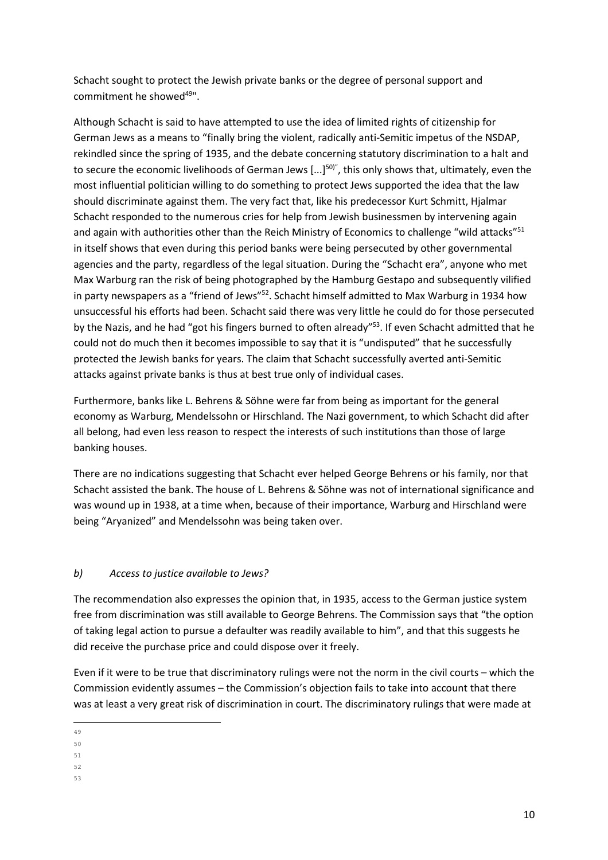Schacht sought to protect the Jewish private banks or the degree of personal support and commitment he showed<sup>49"</sup>.

Although Schacht is said to have attempted to use the idea of limited rights of citizenship for German Jews as a means to "finally bring the violent, radically anti-Semitic impetus of the NSDAP, rekindled since the spring of 1935, and the debate concerning statutory discrimination to a halt and to secure the economic livelihoods of German Jews [...]<sup>50)"</sup>, this only shows that, ultimately, even the most influential politician willing to do something to protect Jews supported the idea that the law should discriminate against them. The very fact that, like his predecessor Kurt Schmitt, Hjalmar Schacht responded to the numerous cries for help from Jewish businessmen by intervening again and again with authorities other than the Reich Ministry of Economics to challenge "wild attacks"<sup>51</sup> in itself shows that even during this period banks were being persecuted by other governmental agencies and the party, regardless of the legal situation. During the "Schacht era", anyone who met Max Warburg ran the risk of being photographed by the Hamburg Gestapo and subsequently vilified in party newspapers as a "friend of Jews"<sup>52</sup>. Schacht himself admitted to Max Warburg in 1934 how unsuccessful his efforts had been. Schacht said there was very little he could do for those persecuted by the Nazis, and he had "got his fingers burned to often already"<sup>53</sup>. If even Schacht admitted that he could not do much then it becomes impossible to say that it is "undisputed" that he successfully protected the Jewish banks for years. The claim that Schacht successfully averted anti-Semitic attacks against private banks is thus at best true only of individual cases.

Furthermore, banks like L. Behrens & Söhne were far from being as important for the general economy as Warburg, Mendelssohn or Hirschland. The Nazi government, to which Schacht did after all belong, had even less reason to respect the interests of such institutions than those of large banking houses.

There are no indications suggesting that Schacht ever helped George Behrens or his family, nor that Schacht assisted the bank. The house of L. Behrens & Söhne was not of international significance and was wound up in 1938, at a time when, because of their importance, Warburg and Hirschland were being "Aryanized" and Mendelssohn was being taken over.

### b) Access to justice available to Jews?

The recommendation also expresses the opinion that, in 1935, access to the German justice system free from discrimination was still available to George Behrens. The Commission says that "the option of taking legal action to pursue a defaulter was readily available to him", and that this suggests he did receive the purchase price and could dispose over it freely.

Even if it were to be true that discriminatory rulings were not the norm in the civil courts – which the Commission evidently assumes – the Commission's objection fails to take into account that there was at least a very great risk of discrimination in court. The discriminatory rulings that were made at

<sup>52</sup>

 $\overline{a}$ <sup>49</sup>

<sup>50</sup>

<sup>51</sup>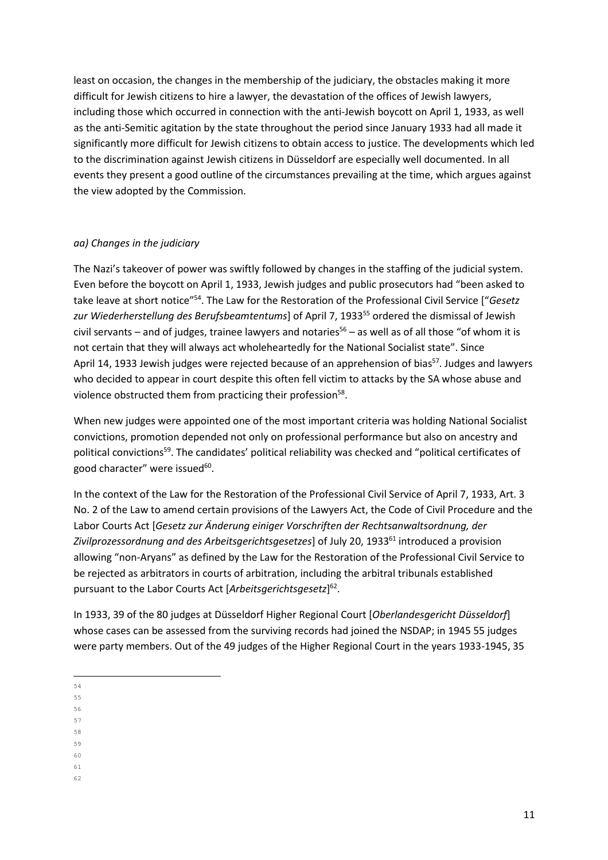least on occasion, the changes in the membership of the judiciary, the obstacles making it more difficult for Jewish citizens to hire a lawyer, the devastation of the offices of Jewish lawyers, including those which occurred in connection with the anti-Jewish boycott on April 1, 1933, as well as the anti-Semitic agitation by the state throughout the period since January 1933 had all made it significantly more difficult for Jewish citizens to obtain access to justice. The developments which led to the discrimination against Jewish citizens in Düsseldorf are especially well documented. In all events they present a good outline of the circumstances prevailing at the time, which argues against the view adopted by the Commission.

#### aa) Changes in the judiciary

The Nazi's takeover of power was swiftly followed by changes in the staffing of the judicial system. Even before the boycott on April 1, 1933, Jewish judges and public prosecutors had "been asked to take leave at short notice"<sup>54</sup>. The Law for the Restoration of the Professional Civil Service ["Gesetz zur Wiederherstellung des Berufsbeamtentums] of April 7, 1933<sup>55</sup> ordered the dismissal of Jewish civil servants – and of judges, trainee lawyers and notaries<sup>56</sup> – as well as of all those "of whom it is not certain that they will always act wholeheartedly for the National Socialist state". Since April 14, 1933 Jewish judges were rejected because of an apprehension of bias<sup>57</sup>. Judges and lawyers who decided to appear in court despite this often fell victim to attacks by the SA whose abuse and violence obstructed them from practicing their profession<sup>58</sup>.

When new judges were appointed one of the most important criteria was holding National Socialist convictions, promotion depended not only on professional performance but also on ancestry and political convictions<sup>59</sup>. The candidates' political reliability was checked and "political certificates of good character" were issued<sup>60</sup>.

In the context of the Law for the Restoration of the Professional Civil Service of April 7, 1933, Art. 3 No. 2 of the Law to amend certain provisions of the Lawyers Act, the Code of Civil Procedure and the Labor Courts Act [Gesetz zur Änderung einiger Vorschriften der Rechtsanwaltsordnung, der Zivilprozessordnung and des Arbeitsgerichtsgesetzes] of July 20, 1933<sup>61</sup> introduced a provision allowing "non-Aryans" as defined by the Law for the Restoration of the Professional Civil Service to be rejected as arbitrators in courts of arbitration, including the arbitral tribunals established pursuant to the Labor Courts Act [Arbeitsgerichtsgesetz]<sup>62</sup>.

In 1933, 39 of the 80 judges at Düsseldorf Higher Regional Court [Oberlandesgericht Düsseldorf] whose cases can be assessed from the surviving records had joined the NSDAP; in 1945 55 judges were party members. Out of the 49 judges of the Higher Regional Court in the years 1933-1945, 35

- $\overline{\phantom{0}}$ <sup>54</sup>
- <sup>55</sup>
- <sup>56</sup> <sup>57</sup>
- <sup>58</sup>
- <sup>59</sup>
- <sup>60</sup>
- <sup>61</sup> 62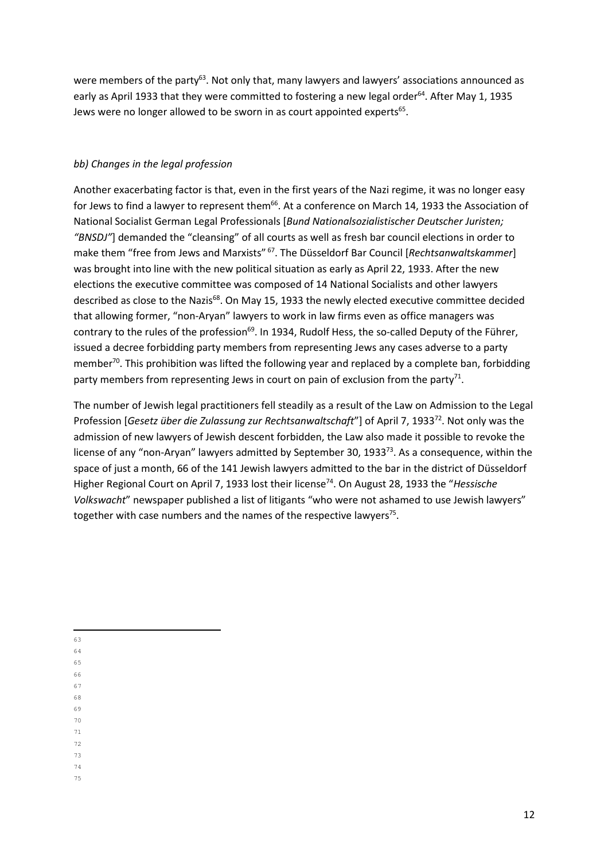were members of the party<sup>63</sup>. Not only that, many lawyers and lawyers' associations announced as early as April 1933 that they were committed to fostering a new legal order<sup>64</sup>. After May 1, 1935 Jews were no longer allowed to be sworn in as court appointed experts<sup>65</sup>.

### bb) Changes in the legal profession

Another exacerbating factor is that, even in the first years of the Nazi regime, it was no longer easy for Jews to find a lawyer to represent them<sup>66</sup>. At a conference on March 14, 1933 the Association of National Socialist German Legal Professionals [Bund Nationalsozialistischer Deutscher Juristen; "BNSDJ"] demanded the "cleansing" of all courts as well as fresh bar council elections in order to make them "free from Jews and Marxists" <sup>67</sup>. The Düsseldorf Bar Council [Rechtsanwaltskammer] was brought into line with the new political situation as early as April 22, 1933. After the new elections the executive committee was composed of 14 National Socialists and other lawyers described as close to the Nazis<sup>68</sup>. On May 15, 1933 the newly elected executive committee decided that allowing former, "non-Aryan" lawyers to work in law firms even as office managers was contrary to the rules of the profession<sup>69</sup>. In 1934, Rudolf Hess, the so-called Deputy of the Führer, issued a decree forbidding party members from representing Jews any cases adverse to a party member<sup>70</sup>. This prohibition was lifted the following year and replaced by a complete ban, forbidding party members from representing Jews in court on pain of exclusion from the party<sup>71</sup>.

The number of Jewish legal practitioners fell steadily as a result of the Law on Admission to the Legal Profession [Gesetz über die Zulassung zur Rechtsanwaltschaft"] of April 7, 1933<sup>72</sup>. Not only was the admission of new lawyers of Jewish descent forbidden, the Law also made it possible to revoke the license of any "non-Aryan" lawyers admitted by September 30, 1933<sup>73</sup>. As a consequence, within the space of just a month, 66 of the 141 Jewish lawyers admitted to the bar in the district of Düsseldorf Higher Regional Court on April 7, 1933 lost their license<sup>74</sup>. On August 28, 1933 the "*Hessische* Volkswacht" newspaper published a list of litigants "who were not ashamed to use Jewish lawyers" together with case numbers and the names of the respective lawyers<sup>75</sup>.

- <sup>64</sup>
- <sup>65</sup> <sup>66</sup>
- <sup>67</sup>
- <sup>68</sup>
- <sup>69</sup>
- <sup>70</sup>
- <sup>71</sup> <sup>72</sup>
- <sup>73</sup>
- <sup>74</sup>
- 75

 $\overline{\phantom{0}}$ <sup>63</sup>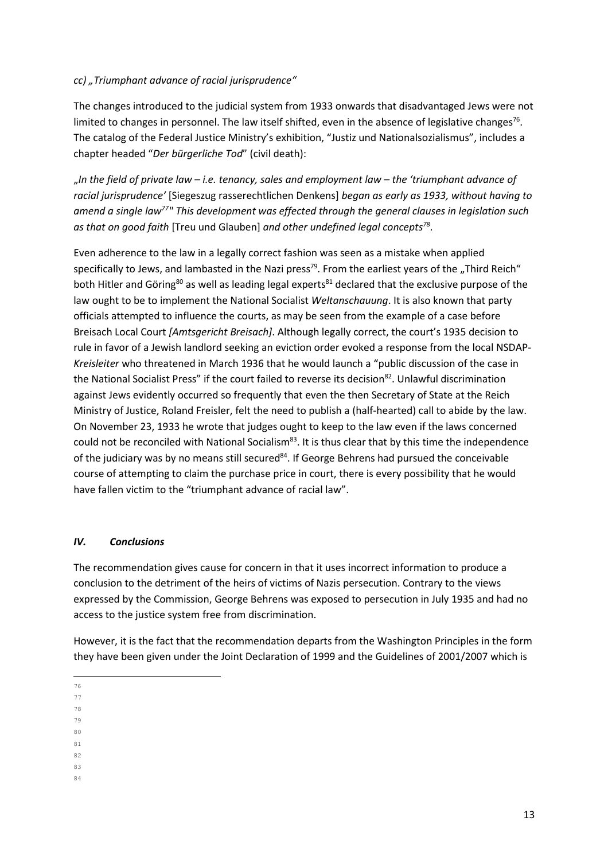## cc) "Triumphant advance of racial jurisprudence"

The changes introduced to the judicial system from 1933 onwards that disadvantaged Jews were not limited to changes in personnel. The law itself shifted, even in the absence of legislative changes<sup>76</sup>. The catalog of the Federal Justice Ministry's exhibition, "Justiz und Nationalsozialismus", includes a chapter headed "Der bürgerliche Tod" (civil death):

"In the field of private law  $-i.e.$  tenancy, sales and employment law  $-i$  the 'triumphant advance of racial jurisprudence' [Siegeszug rasserechtlichen Denkens] began as early as 1933, without having to amend a single law<sup>77</sup>" This development was effected through the general clauses in legislation such as that on good faith [Treu und Glauben] and other undefined legal concepts<sup>78</sup>.

Even adherence to the law in a legally correct fashion was seen as a mistake when applied specifically to Jews, and lambasted in the Nazi press<sup>79</sup>. From the earliest years of the "Third Reich" both Hitler and Göring<sup>80</sup> as well as leading legal experts<sup>81</sup> declared that the exclusive purpose of the law ought to be to implement the National Socialist Weltanschauung. It is also known that party officials attempted to influence the courts, as may be seen from the example of a case before Breisach Local Court [Amtsgericht Breisach]. Although legally correct, the court's 1935 decision to rule in favor of a Jewish landlord seeking an eviction order evoked a response from the local NSDAP-Kreisleiter who threatened in March 1936 that he would launch a "public discussion of the case in the National Socialist Press" if the court failed to reverse its decision<sup>82</sup>. Unlawful discrimination against Jews evidently occurred so frequently that even the then Secretary of State at the Reich Ministry of Justice, Roland Freisler, felt the need to publish a (half-hearted) call to abide by the law. On November 23, 1933 he wrote that judges ought to keep to the law even if the laws concerned could not be reconciled with National Socialism<sup>83</sup>. It is thus clear that by this time the independence of the judiciary was by no means still secured $84$ . If George Behrens had pursued the conceivable course of attempting to claim the purchase price in court, there is every possibility that he would have fallen victim to the "triumphant advance of racial law".

### IV. Conclusions

The recommendation gives cause for concern in that it uses incorrect information to produce a conclusion to the detriment of the heirs of victims of Nazis persecution. Contrary to the views expressed by the Commission, George Behrens was exposed to persecution in July 1935 and had no access to the justice system free from discrimination.

However, it is the fact that the recommendation departs from the Washington Principles in the form they have been given under the Joint Declaration of 1999 and the Guidelines of 2001/2007 which is

- $\overline{\phantom{0}}$ <sup>76</sup>
- <sup>77</sup>
- <sup>78</sup> <sup>79</sup>
- <sup>80</sup>
- <sup>81</sup>
- 82
- <sup>83</sup> 84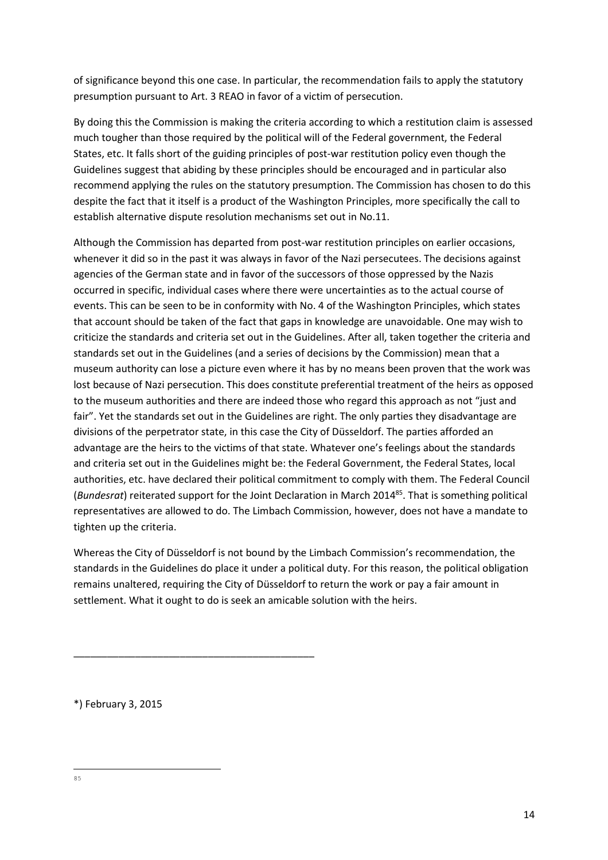of significance beyond this one case. In particular, the recommendation fails to apply the statutory presumption pursuant to Art. 3 REAO in favor of a victim of persecution.

By doing this the Commission is making the criteria according to which a restitution claim is assessed much tougher than those required by the political will of the Federal government, the Federal States, etc. It falls short of the guiding principles of post-war restitution policy even though the Guidelines suggest that abiding by these principles should be encouraged and in particular also recommend applying the rules on the statutory presumption. The Commission has chosen to do this despite the fact that it itself is a product of the Washington Principles, more specifically the call to establish alternative dispute resolution mechanisms set out in No.11.

Although the Commission has departed from post-war restitution principles on earlier occasions, whenever it did so in the past it was always in favor of the Nazi persecutees. The decisions against agencies of the German state and in favor of the successors of those oppressed by the Nazis occurred in specific, individual cases where there were uncertainties as to the actual course of events. This can be seen to be in conformity with No. 4 of the Washington Principles, which states that account should be taken of the fact that gaps in knowledge are unavoidable. One may wish to criticize the standards and criteria set out in the Guidelines. After all, taken together the criteria and standards set out in the Guidelines (and a series of decisions by the Commission) mean that a museum authority can lose a picture even where it has by no means been proven that the work was lost because of Nazi persecution. This does constitute preferential treatment of the heirs as opposed to the museum authorities and there are indeed those who regard this approach as not "just and fair". Yet the standards set out in the Guidelines are right. The only parties they disadvantage are divisions of the perpetrator state, in this case the City of Düsseldorf. The parties afforded an advantage are the heirs to the victims of that state. Whatever one's feelings about the standards and criteria set out in the Guidelines might be: the Federal Government, the Federal States, local authorities, etc. have declared their political commitment to comply with them. The Federal Council (Bundesrat) reiterated support for the Joint Declaration in March 2014<sup>85</sup>. That is something political representatives are allowed to do. The Limbach Commission, however, does not have a mandate to tighten up the criteria.

Whereas the City of Düsseldorf is not bound by the Limbach Commission's recommendation, the standards in the Guidelines do place it under a political duty. For this reason, the political obligation remains unaltered, requiring the City of Düsseldorf to return the work or pay a fair amount in settlement. What it ought to do is seek an amicable solution with the heirs.

\*) February 3, 2015

\_\_\_\_\_\_\_\_\_\_\_\_\_\_\_\_\_\_\_\_\_\_\_\_\_\_\_\_\_\_\_\_\_\_\_\_\_\_\_\_\_\_\_

 $\overline{a}$ 85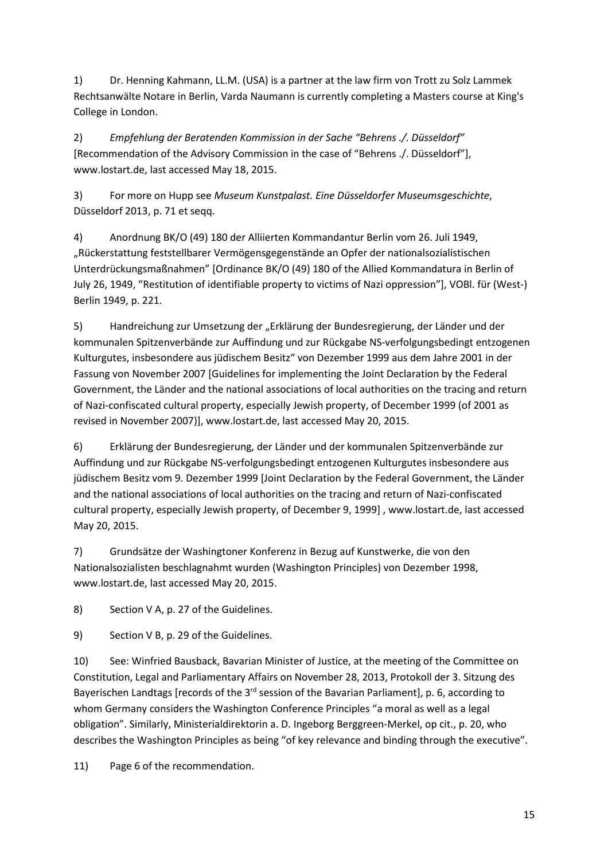1) Dr. Henning Kahmann, LL.M. (USA) is a partner at the law firm von Trott zu Solz Lammek Rechtsanwälte Notare in Berlin, Varda Naumann is currently completing a Masters course at King's College in London.

2) Empfehlung der Beratenden Kommission in der Sache "Behrens ./. Düsseldorf" [Recommendation of the Advisory Commission in the case of "Behrens ./. Düsseldorf"], www.lostart.de, last accessed May 18, 2015.

3) For more on Hupp see Museum Kunstpalast. Eine Düsseldorfer Museumsgeschichte, Düsseldorf 2013, p. 71 et seqq.

4) Anordnung BK/O (49) 180 der Alliierten Kommandantur Berlin vom 26. Juli 1949, "Rückerstattung feststellbarer Vermögensgegenstände an Opfer der nationalsozialistischen Unterdrückungsmaßnahmen" [Ordinance BK/O (49) 180 of the Allied Kommandatura in Berlin of July 26, 1949, "Restitution of identifiable property to victims of Nazi oppression"], VOBl. für (West-) Berlin 1949, p. 221.

5) Handreichung zur Umsetzung der "Erklärung der Bundesregierung, der Länder und der kommunalen Spitzenverbände zur Auffindung und zur Rückgabe NS-verfolgungsbedingt entzogenen Kulturgutes, insbesondere aus jüdischem Besitz" von Dezember 1999 aus dem Jahre 2001 in der Fassung von November 2007 [Guidelines for implementing the Joint Declaration by the Federal Government, the Länder and the national associations of local authorities on the tracing and return of Nazi-confiscated cultural property, especially Jewish property, of December 1999 (of 2001 as revised in November 2007)], www.lostart.de, last accessed May 20, 2015.

6) Erklärung der Bundesregierung, der Länder und der kommunalen Spitzenverbände zur Auffindung und zur Rückgabe NS-verfolgungsbedingt entzogenen Kulturgutes insbesondere aus jüdischem Besitz vom 9. Dezember 1999 [Joint Declaration by the Federal Government, the Länder and the national associations of local authorities on the tracing and return of Nazi-confiscated cultural property, especially Jewish property, of December 9, 1999] , www.lostart.de, last accessed May 20, 2015.

7) Grundsätze der Washingtoner Konferenz in Bezug auf Kunstwerke, die von den Nationalsozialisten beschlagnahmt wurden (Washington Principles) von Dezember 1998, www.lostart.de, last accessed May 20, 2015.

8) Section V A, p. 27 of the Guidelines.

9) Section V B, p. 29 of the Guidelines.

10) See: Winfried Bausback, Bavarian Minister of Justice, at the meeting of the Committee on Constitution, Legal and Parliamentary Affairs on November 28, 2013, Protokoll der 3. Sitzung des Bayerischen Landtags [records of the 3<sup>rd</sup> session of the Bavarian Parliament], p. 6, according to whom Germany considers the Washington Conference Principles "a moral as well as a legal obligation". Similarly, Ministerialdirektorin a. D. Ingeborg Berggreen-Merkel, op cit., p. 20, who describes the Washington Principles as being "of key relevance and binding through the executive".

11) Page 6 of the recommendation.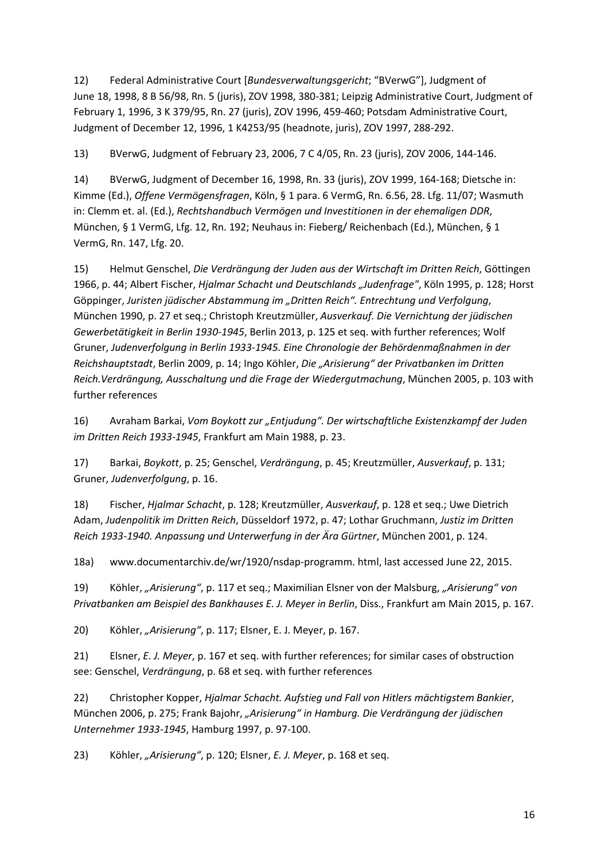12) Federal Administrative Court [Bundesverwaltungsgericht; "BVerwG"], Judgment of June 18, 1998, 8 B 56/98, Rn. 5 (juris), ZOV 1998, 380-381; Leipzig Administrative Court, Judgment of February 1, 1996, 3 K 379/95, Rn. 27 (juris), ZOV 1996, 459-460; Potsdam Administrative Court, Judgment of December 12, 1996, 1 K4253/95 (headnote, juris), ZOV 1997, 288-292.

13) BVerwG, Judgment of February 23, 2006, 7 C 4/05, Rn. 23 (juris), ZOV 2006, 144-146.

14) BVerwG, Judgment of December 16, 1998, Rn. 33 (juris), ZOV 1999, 164-168; Dietsche in: Kimme (Ed.), Offene Vermögensfragen, Köln, § 1 para. 6 VermG, Rn. 6.56, 28. Lfg. 11/07; Wasmuth in: Clemm et. al. (Ed.), Rechtshandbuch Vermögen und Investitionen in der ehemaligen DDR, München, § 1 VermG, Lfg. 12, Rn. 192; Neuhaus in: Fieberg/ Reichenbach (Ed.), München, § 1 VermG, Rn. 147, Lfg. 20.

15) Helmut Genschel, Die Verdrängung der Juden aus der Wirtschaft im Dritten Reich, Göttingen 1966, p. 44; Albert Fischer, Hjalmar Schacht und Deutschlands "Judenfrage", Köln 1995, p. 128; Horst Göppinger, Juristen jüdischer Abstammung im "Dritten Reich". Entrechtung und Verfolgung, München 1990, p. 27 et seq.; Christoph Kreutzmüller, Ausverkauf. Die Vernichtung der jüdischen Gewerbetätigkeit in Berlin 1930-1945, Berlin 2013, p. 125 et seq. with further references; Wolf Gruner, Judenverfolgung in Berlin 1933-1945. Eine Chronologie der Behördenmaßnahmen in der Reichshauptstadt, Berlin 2009, p. 14; Ingo Köhler, Die "Arisierung" der Privatbanken im Dritten Reich.Verdrängung, Ausschaltung und die Frage der Wiedergutmachung, München 2005, p. 103 with further references

16) Avraham Barkai, Vom Boykott zur "Entjudung". Der wirtschaftliche Existenzkampf der Juden im Dritten Reich 1933-1945, Frankfurt am Main 1988, p. 23.

17) Barkai, Boykott, p. 25; Genschel, Verdrängung, p. 45; Kreutzmüller, Ausverkauf, p. 131; Gruner, Judenverfolgung, p. 16.

18) Fischer, Hjalmar Schacht, p. 128; Kreutzmüller, Ausverkauf, p. 128 et seq.; Uwe Dietrich Adam, Judenpolitik im Dritten Reich, Düsseldorf 1972, p. 47; Lothar Gruchmann, Justiz im Dritten Reich 1933-1940. Anpassung und Unterwerfung in der Ära Gürtner, München 2001, p. 124.

18a) www.documentarchiv.de/wr/1920/nsdap-programm. html, last accessed June 22, 2015.

19) Köhler, "Arisierung", p. 117 et seq.; Maximilian Elsner von der Malsburg, "Arisierung" von Privatbanken am Beispiel des Bankhauses E. J. Meyer in Berlin, Diss., Frankfurt am Main 2015, p. 167.

20) Köhler, "Arisierung", p. 117; Elsner, E. J. Meyer, p. 167.

21) Elsner, E. J. Meyer, p. 167 et seq. with further references; for similar cases of obstruction see: Genschel, Verdrängung, p. 68 et seq. with further references

22) Christopher Kopper, Hjalmar Schacht. Aufstieg und Fall von Hitlers mächtigstem Bankier, München 2006, p. 275; Frank Bajohr, "Arisierung" in Hamburg. Die Verdrängung der jüdischen Unternehmer 1933-1945, Hamburg 1997, p. 97-100.

23) Köhler, "Arisierung", p. 120; Elsner, E. J. Meyer, p. 168 et seq.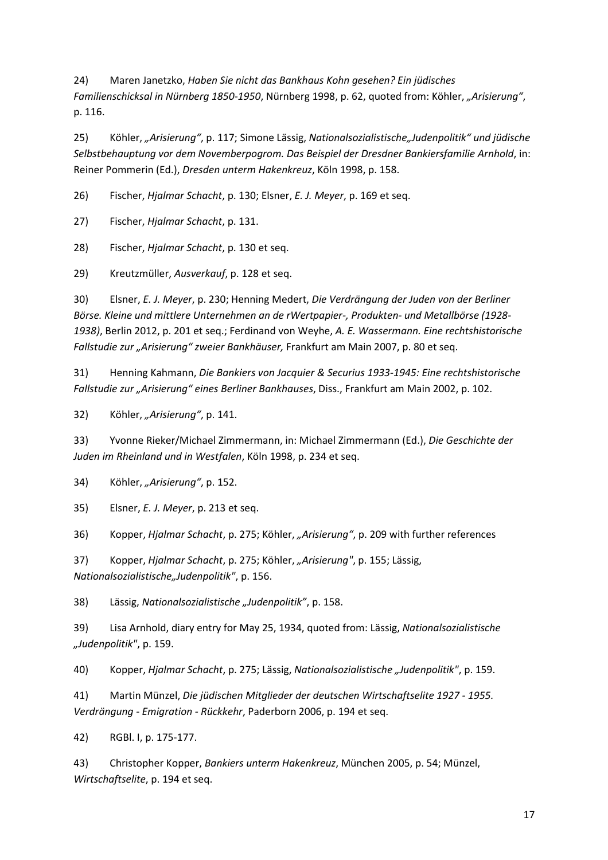24) Maren Janetzko, Haben Sie nicht das Bankhaus Kohn gesehen? Ein jüdisches Familienschicksal in Nürnberg 1850-1950, Nürnberg 1998, p. 62, quoted from: Köhler, "Arisierung", p. 116.

25) Köhler, "Arisierung", p. 117; Simone Lässig, Nationalsozialistische "Judenpolitik" und jüdische Selbstbehauptung vor dem Novemberpogrom. Das Beispiel der Dresdner Bankiersfamilie Arnhold, in: Reiner Pommerin (Ed.), Dresden unterm Hakenkreuz, Köln 1998, p. 158.

26) Fischer, Hjalmar Schacht, p. 130; Elsner, E. J. Meyer, p. 169 et seq.

27) Fischer, Hjalmar Schacht, p. 131.

28) Fischer, Hjalmar Schacht, p. 130 et seq.

29) Kreutzmüller, Ausverkauf, p. 128 et seq.

30) Elsner, E. J. Meyer, p. 230; Henning Medert, Die Verdrängung der Juden von der Berliner Börse. Kleine und mittlere Unternehmen an de rWertpapier-, Produkten- und Metallbörse (1928- 1938), Berlin 2012, p. 201 et seq.; Ferdinand von Weyhe, A. E. Wassermann. Eine rechtshistorische Fallstudie zur "Arisierung" zweier Bankhäuser, Frankfurt am Main 2007, p. 80 et seg.

31) Henning Kahmann, Die Bankiers von Jacquier & Securius 1933-1945: Eine rechtshistorische Fallstudie zur "Arisierung" eines Berliner Bankhauses, Diss., Frankfurt am Main 2002, p. 102.

32) Köhler, "Arisierung", p. 141.

33) Yvonne Rieker/Michael Zimmermann, in: Michael Zimmermann (Ed.), Die Geschichte der Juden im Rheinland und in Westfalen, Köln 1998, p. 234 et seq.

34) Köhler, "Arisierung", p. 152.

35) Elsner, E. J. Meyer, p. 213 et seq.

36) Kopper, Hjalmar Schacht, p. 275; Köhler, "Arisierung", p. 209 with further references

37) Kopper, Hjalmar Schacht, p. 275; Köhler, "Arisierung", p. 155; Lässig, Nationalsozialistische"Judenpolitik", p. 156.

38) Lässig, Nationalsozialistische "Judenpolitik", p. 158.

39) Lisa Arnhold, diary entry for May 25, 1934, quoted from: Lässig, Nationalsozialistische "Judenpolitik", p. 159.

40) Kopper, Hjalmar Schacht, p. 275; Lässig, Nationalsozialistische "Judenpolitik", p. 159.

41) Martin Münzel, Die jüdischen Mitglieder der deutschen Wirtschaftselite 1927 - 1955. Verdrängung - Emigration - Rückkehr, Paderborn 2006, p. 194 et seq.

42) RGBl. I, p. 175-177.

43) Christopher Kopper, Bankiers unterm Hakenkreuz, München 2005, p. 54; Münzel, Wirtschaftselite, p. 194 et seq.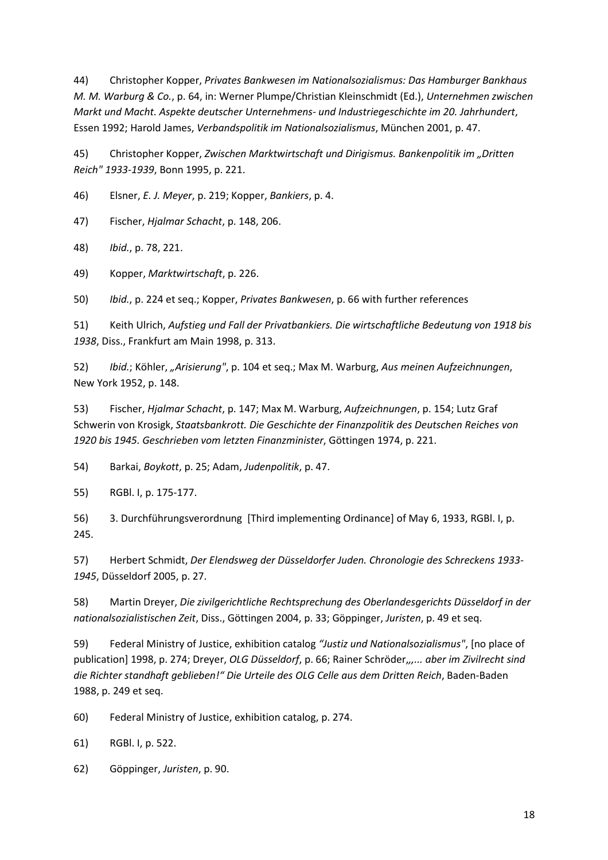44) Christopher Kopper, Privates Bankwesen im Nationalsozialismus: Das Hamburger Bankhaus M. M. Warburg & Co., p. 64, in: Werner Plumpe/Christian Kleinschmidt (Ed.), Unternehmen zwischen Markt und Macht. Aspekte deutscher Unternehmens- und Industriegeschichte im 20. Jahrhundert, Essen 1992; Harold James, Verbandspolitik im Nationalsozialismus, München 2001, p. 47.

45) Christopher Kopper, Zwischen Marktwirtschaft und Dirigismus. Bankenpolitik im "Dritten Reich" 1933-1939, Bonn 1995, p. 221.

46) Elsner, E. J. Meyer, p. 219; Kopper, Bankiers, p. 4.

47) Fischer, Hjalmar Schacht, p. 148, 206.

48) Ibid., p. 78, 221.

49) Kopper, Marktwirtschaft, p. 226.

50) Ibid., p. 224 et seq.; Kopper, Privates Bankwesen, p. 66 with further references

51) Keith Ulrich, Aufstieg und Fall der Privatbankiers. Die wirtschaftliche Bedeutung von 1918 bis 1938, Diss., Frankfurt am Main 1998, p. 313.

52) Ibid.; Köhler, "Arisierung", p. 104 et seq.; Max M. Warburg, Aus meinen Aufzeichnungen, New York 1952, p. 148.

53) Fischer, Hjalmar Schacht, p. 147; Max M. Warburg, Aufzeichnungen, p. 154; Lutz Graf Schwerin von Krosigk, Staatsbankrott. Die Geschichte der Finanzpolitik des Deutschen Reiches von 1920 bis 1945. Geschrieben vom letzten Finanzminister, Göttingen 1974, p. 221.

54) Barkai, Boykott, p. 25; Adam, Judenpolitik, p. 47.

55) RGBl. I, p. 175-177.

56) 3. Durchführungsverordnung [Third implementing Ordinance] of May 6, 1933, RGBl. I, p. 245.

57) Herbert Schmidt, Der Elendsweg der Düsseldorfer Juden. Chronologie des Schreckens 1933- 1945, Düsseldorf 2005, p. 27.

58) Martin Dreyer, Die zivilgerichtliche Rechtsprechung des Oberlandesgerichts Düsseldorf in der nationalsozialistischen Zeit, Diss., Göttingen 2004, p. 33; Göppinger, Juristen, p. 49 et seq.

59) Federal Ministry of Justice, exhibition catalog "Justiz und Nationalsozialismus", [no place of publication] 1998, p. 274; Dreyer, OLG Düsseldorf, p. 66; Rainer Schröder,,,... aber im Zivilrecht sind die Richter standhaft geblieben!" Die Urteile des OLG Celle aus dem Dritten Reich, Baden-Baden 1988, p. 249 et seq.

60) Federal Ministry of Justice, exhibition catalog, p. 274.

61) RGBl. I, p. 522.

62) Göppinger, Juristen, p. 90.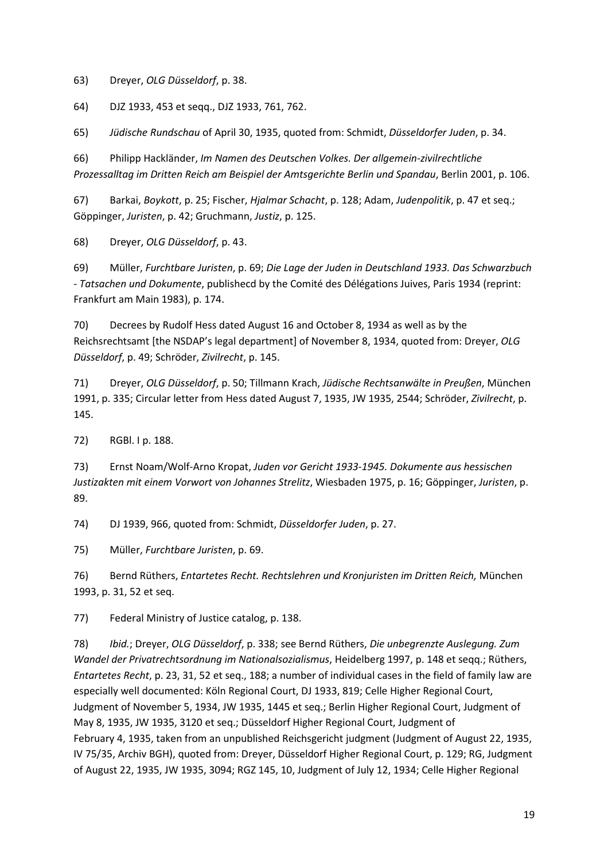63) Dreyer, OLG Düsseldorf, p. 38.

64) DJZ 1933, 453 et seqq., DJZ 1933, 761, 762.

65) Jüdische Rundschau of April 30, 1935, quoted from: Schmidt, Düsseldorfer Juden, p. 34.

66) Philipp Hackländer, Im Namen des Deutschen Volkes. Der allgemein-zivilrechtliche Prozessalltag im Dritten Reich am Beispiel der Amtsgerichte Berlin und Spandau, Berlin 2001, p. 106.

67) Barkai, Boykott, p. 25; Fischer, Hjalmar Schacht, p. 128; Adam, Judenpolitik, p. 47 et seq.; Göppinger, Juristen, p. 42; Gruchmann, Justiz, p. 125.

68) Dreyer, OLG Düsseldorf, p. 43.

69) Müller, Furchtbare Juristen, p. 69; Die Lage der Juden in Deutschland 1933. Das Schwarzbuch - Tatsachen und Dokumente, publishecd by the Comité des Délégations Juives, Paris 1934 (reprint: Frankfurt am Main 1983), p. 174.

70) Decrees by Rudolf Hess dated August 16 and October 8, 1934 as well as by the Reichsrechtsamt [the NSDAP's legal department] of November 8, 1934, quoted from: Dreyer, OLG Düsseldorf, p. 49; Schröder, Zivilrecht, p. 145.

71) Dreyer, OLG Düsseldorf, p. 50; Tillmann Krach, Jüdische Rechtsanwälte in Preußen, München 1991, p. 335; Circular letter from Hess dated August 7, 1935, JW 1935, 2544; Schröder, Zivilrecht, p. 145.

72) RGBl. I p. 188.

73) Ernst Noam/Wolf-Arno Kropat, Juden vor Gericht 1933-1945. Dokumente aus hessischen Justizakten mit einem Vorwort von Johannes Strelitz, Wiesbaden 1975, p. 16; Göppinger, Juristen, p. 89.

74) DJ 1939, 966, quoted from: Schmidt, Düsseldorfer Juden, p. 27.

75) Müller, Furchtbare Juristen, p. 69.

76) Bernd Rüthers, Entartetes Recht. Rechtslehren und Kronjuristen im Dritten Reich, München 1993, p. 31, 52 et seq.

77) Federal Ministry of Justice catalog, p. 138.

78) Ibid.; Dreyer, OLG Düsseldorf, p. 338; see Bernd Rüthers, Die unbegrenzte Auslegung. Zum Wandel der Privatrechtsordnung im Nationalsozialismus, Heidelberg 1997, p. 148 et seqq.; Rüthers, Entartetes Recht, p. 23, 31, 52 et seq., 188; a number of individual cases in the field of family law are especially well documented: Köln Regional Court, DJ 1933, 819; Celle Higher Regional Court, Judgment of November 5, 1934, JW 1935, 1445 et seq.; Berlin Higher Regional Court, Judgment of May 8, 1935, JW 1935, 3120 et seq.; Düsseldorf Higher Regional Court, Judgment of February 4, 1935, taken from an unpublished Reichsgericht judgment (Judgment of August 22, 1935, IV 75/35, Archiv BGH), quoted from: Dreyer, Düsseldorf Higher Regional Court, p. 129; RG, Judgment of August 22, 1935, JW 1935, 3094; RGZ 145, 10, Judgment of July 12, 1934; Celle Higher Regional